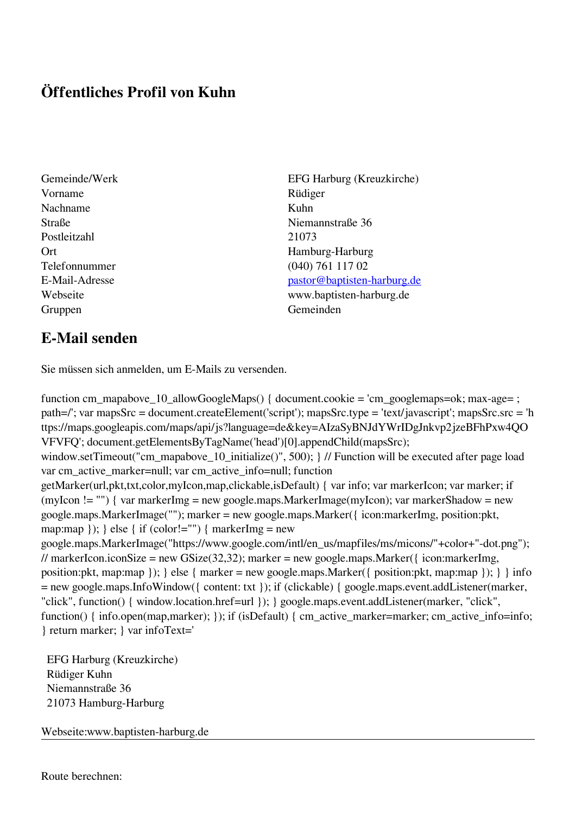## **Öffentliches Profil von Kuhn**

- Gemeinde/Werk EFG Harburg (Kreuzkirche) Vorname Rüdiger Nachname Kuhn Postleitzahl 21073 Gruppen Gemeinden Gemeinden Gemeinden Gemeinden Gemeinden Gemeinden Gemeinden Gemeinden Gemeinden Gemeinden G
- Straße Niemannstraße 36 Ort Hamburg-Harburg Telefonnummer (040) 761 117 02 E-Mail-Adresse [pastor@baptisten-harburg.de](mailto:pastor@baptisten-harburg.de) Webseite www.baptisten-harburg.de

## **E-Mail senden**

Sie müssen sich anmelden, um E-Mails zu versenden.

function cm\_mapabove\_10\_allowGoogleMaps() { document.cookie = 'cm\_googlemaps=ok; max-age= ; path=/'; var mapsSrc = document.createElement('script'); mapsSrc.type = 'text/javascript'; mapsSrc.src = 'h ttps://maps.googleapis.com/maps/api/js?language=de&key=AIzaSyBNJdYWrIDgJnkvp2jzeBFhPxw4QO VFVFQ'; document.getElementsByTagName('head')[0].appendChild(mapsSrc); window.setTimeout("cm\_mapabove\_10\_initialize()", 500); } // Function will be executed after page load var cm\_active\_marker=null; var cm\_active\_info=null; function getMarker(url,pkt,txt,color,myIcon,map,clickable,isDefault) { var info; var markerIcon; var marker; if (myIcon != "") { var markerImg = new google.maps.MarkerImage(myIcon); var markerShadow = new google.maps.MarkerImage(""); marker = new google.maps.Marker({ icon:markerImg, position:pkt, map:map  $\}$ ;  $\}$  else  $\{$  if (color!="")  $\{$  markerImg = new google.maps.MarkerImage("https://www.google.com/intl/en\_us/mapfiles/ms/micons/"+color+"-dot.png"); // markerIcon.iconSize = new GSize(32,32); marker = new google.maps.Marker({ $i$ con:markerImg, position:pkt, map:map }); } else { marker = new google.maps.Marker({ position:pkt, map:map }); } } info = new google.maps.InfoWindow({ content: txt }); if (clickable) { google.maps.event.addListener(marker, "click", function() { window.location.href=url }); } google.maps.event.addListener(marker, "click", function() { info.open(map,marker); }); if (isDefault) { cm\_active\_marker=marker; cm\_active\_info=info; } return marker; } var infoText='

 EFG Harburg (Kreuzkirche) Rüdiger Kuhn Niemannstraße 36 21073 Hamburg-Harburg

Webseite:www.baptisten-harburg.de